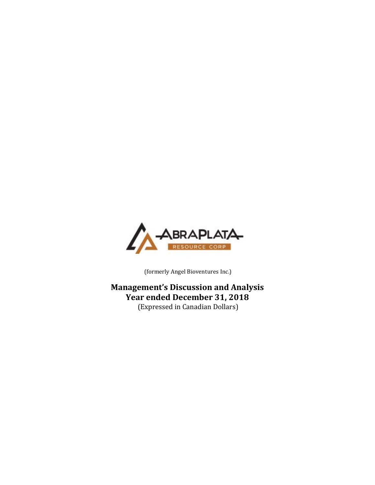

(formerly Angel Bioventures Inc.)

**Management's Discussion and Analysis Year ended December 31, 2018** (Expressed in Canadian Dollars)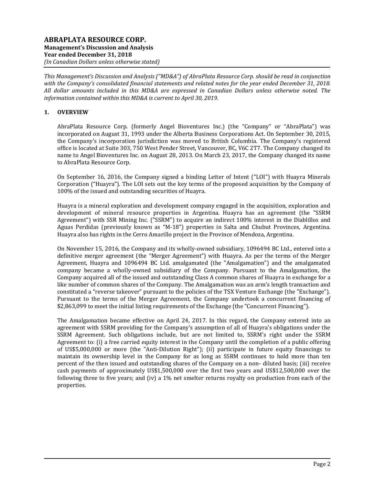*This Management's Discussion and Analysis ("MD&A") of AbraPlata Resource Corp. should be read in conjunction with the Company's consolidated financial statements and related notes for the year ended December 31, 2018. All dollar amounts included in this MD&A are expressed in Canadian Dollars unless otherwise noted. The information contained within this MD&A is current to April 30, 2019.*

# **1. OVERVIEW**

AbraPlata Resource Corp. (formerly Angel Bioventures Inc.) (the "Company" or "AbraPlata") was incorporated on August 31, 1993 under the Alberta Business Corporations Act. On September 30, 2015, the Company's incorporation jurisdiction was moved to British Columbia. The Company's registered office is located at Suite 303, 750 West Pender Street, Vancouver, BC, V6C 2T7. The Company changed its name to Angel Bioventures Inc. on August 28, 2013. On March 23, 2017, the Company changed its name to AbraPlata Resource Corp.

On September 16, 2016, the Company signed a binding Letter of Intent ("LOI") with Huayra Minerals Corporation ("Huayra"). The LOI sets out the key terms of the proposed acquisition by the Company of 100% of the issued and outstanding securities of Huayra.

Huayra is a mineral exploration and development company engaged in the acquisition, exploration and development of mineral resource properties in Argentina. Huayra has an agreement (the "SSRM Agreement") with SSR Mining Inc. ("SSRM") to acquire an indirect 100% interest in the Diablillos and Aguas Perdidas (previously known as "M-18") properties in Salta and Chubut Provinces, Argentina. Huayra also has rights in the Cerro Amarillo project in the Province of Mendoza, Argentina.

On November 15, 2016, the Company and its wholly-owned subsidiary, 1096494 BC Ltd., entered into a definitive merger agreement (the "Merger Agreement") with Huayra. As per the terms of the Merger Agreement, Huayra and 1096494 BC Ltd. amalgamated (the "Amalgamation") and the amalgamated company became a wholly-owned subsidiary of the Company. Pursuant to the Amalgamation, the Company acquired all of the issued and outstanding Class A common shares of Huayra in exchange for a like number of common shares of the Company. The Amalgamation was an arm's length transaction and constituted a "reverse takeover" pursuant to the policies of the TSX Venture Exchange (the "Exchange"). Pursuant to the terms of the Merger Agreement, the Company undertook a concurrent financing of \$2,863,099 to meet the initial listing requirements of the Exchange (the "Concurrent Financing").

The Amalgamation became effective on April 24, 2017. In this regard, the Company entered into an agreement with SSRM providing for the Company's assumption of all of Huayra's obligations under the SSRM Agreement. Such obligations include, but are not limited to, SSRM's right under the SSRM Agreement to: (i) a free carried equity interest in the Company until the completion of a public offering of US\$5,000,000 or more (the "Anti-Dilution Right"); (ii) participate in future equity financings to maintain its ownership level in the Company for as long as SSRM continues to hold more than ten percent of the then issued and outstanding shares of the Company on a non- diluted basis; (iii) receive cash payments of approximately US\$1,500,000 over the first two years and US\$12,500,000 over the following three to five years; and (iv) a 1% net smelter returns royalty on production from each of the properties.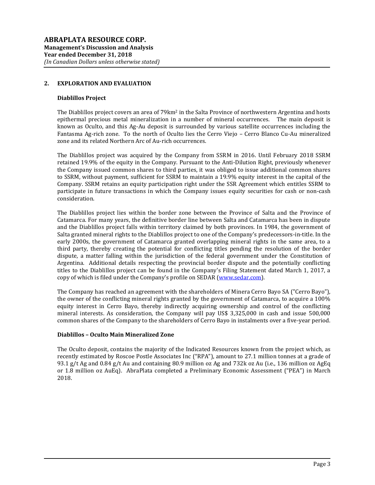## **2. EXPLORATION AND EVALUATION**

#### **Diablillos Project**

The Diablillos project covers an area of  $79 \text{km}^2$  in the Salta Province of northwestern Argentina and hosts epithermal precious metal mineralization in a number of mineral occurrences. The main deposit is known as Oculto, and this Ag-Au deposit is surrounded by various satellite occurrences including the Fantasma Ag-rich zone. To the north of Oculto lies the Cerro Viejo – Cerro Blanco Cu-Au mineralized zone and its related Northern Arc of Au-rich occurrences.

The Diablillos project was acquired by the Company from SSRM in 2016. Until February 2018 SSRM retained 19.9% of the equity in the Company. Pursuant to the Anti-Dilution Right, previously whenever the Company issued common shares to third parties, it was obliged to issue additional common shares to SSRM, without payment, sufficient for SSRM to maintain a 19.9% equity interest in the capital of the Company. SSRM retains an equity participation right under the SSR Agreement which entitles SSRM to participate in future transactions in which the Company issues equity securities for cash or non-cash consideration.

The Diablillos project lies within the border zone between the Province of Salta and the Province of Catamarca. For many years, the definitive border line between Salta and Catamarca has been in dispute and the Diablillos project falls within territory claimed by both provinces. In 1984, the government of Salta granted mineral rights to the Diablillos project to one of the Company's predecessors-in-title. In the early 2000s, the government of Catamarca granted overlapping mineral rights in the same area, to a third party, thereby creating the potential for conflicting titles pending the resolution of the border dispute, a matter falling within the jurisdiction of the federal government under the Constitution of Argentina. Additional details respecting the provincial border dispute and the potentially conflicting titles to the Diablillos project can be found in the Company's Filing Statement dated March 1, 2017, a copy of which is filed under the Company's profile on SEDAR [\(www.sedar.com\)](http://www.sedar.com/).

The Company has reached an agreement with the shareholders of Minera Cerro Bayo SA ("Cerro Bayo"), the owner of the conflicting mineral rights granted by the government of Catamarca, to acquire a 100% equity interest in Cerro Bayo, thereby indirectly acquiring ownership and control of the conflicting mineral interests. As consideration, the Company will pay US\$ 3,325,000 in cash and issue 500,000 common shares of the Company to the shareholders of Cerro Bayo in instalments over a five-year period.

## **Diablillos – Oculto Main Mineralized Zone**

The Oculto deposit, contains the majority of the Indicated Resources known from the project which, as recently estimated by Roscoe Postle Associates Inc ("RPA"), amount to 27.1 million tonnes at a grade of 93.1 g/t Ag and 0.84 g/t Au and containing 80.9 million oz Ag and 732k oz Au (i.e., 136 million oz AgEq or 1.8 million oz AuEq). AbraPlata completed a Preliminary Economic Assessment ("PEA") in March 2018.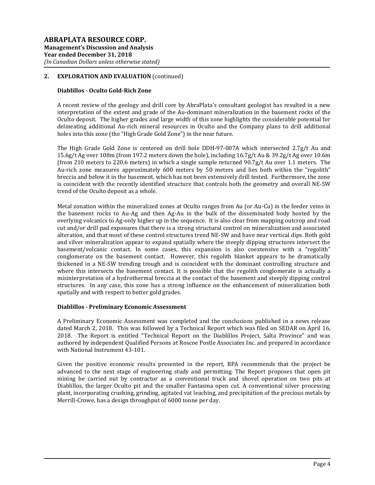## **Diablillos - Oculto Gold-Rich Zone**

A recent review of the geology and drill core by AbraPlata's consultant geologist has resulted in a new interpretation of the extent and grade of the Au-dominant mineralization in the basement rocks of the Oculto deposit. The higher grades and large width of this zone highlights the considerable potential for delineating additional Au-rich mineral resources in Oculto and the Company plans to drill additional holes into this zone (the "High Grade Gold Zone") in the near future.

The High Grade Gold Zone is centered on drill hole DDH-97-007A which intersected 2.7g/t Au and 15.6g/t Ag over 108m (from 197.2 meters down the hole), including 16.7g/t Au & 39.2g/t Ag over 10.6m (from 210 meters to 220.6 meters) in which a single sample returned 90.7g/t Au over 1.1 meters. The Au-rich zone measures approximately 600 meters by 50 meters and lies both within the "regolith" breccia and below it in the basement, which has not been extensively drill tested. Furthermore, the zone is coincident with the recently identified structure that controls both the geometry and overall NE-SW trend of the Oculto deposit as a whole.

Metal zonation within the mineralized zones at Oculto ranges from Au (or Au-Cu) in the feeder veins in the basement rocks to Au-Ag and then Ag-Au in the bulk of the disseminated body hosted by the overlying volcanics to Ag-only higher up in the sequence. It is also clear from mapping outcrop and road cut and/or drill pad exposures that there is a strong structural control on mineralization and associated alteration, and that most of these control structures trend NE-SW and have near vertical dips. Both gold and silver mineralization appear to expand spatially where the steeply dipping structures intersect the basement/volcanic contact. In some cases, this expansion is also coextensive with a "regolith" conglomerate on the basement contact. However, this regolith blanket appears to be dramatically thickened in a NE-SW trending trough and is coincident with the dominant controlling structure and where this intersects the basement contact. It is possible that the regolith conglomerate is actually a misinterpretation of a hydrothermal breccia at the contact of the basement and steeply dipping control structures. In any case, this zone has a strong influence on the enhancement of mineralization both spatially and with respect to better gold grades.

## **Diablillos - Preliminary Economic Assessment**

A Preliminary Economic Assessment was completed and the conclusions published in a news release dated March 2, 2018. This was followed by a Technical Report which was filed on SEDAR on April 16, 2018. The Report is entitled "Technical Report on the Diablillos Project, Salta Province" and was authored by independent Qualified Persons at Roscoe Postle Associates Inc. and prepared in accordance with National Instrument 43-101.

Given the positive economic results presented in the report, RPA recommends that the project be advanced to the next stage of engineering study and permitting. The Report proposes that open pit mining be carried out by contractor as a conventional truck and shovel operation on two pits at Diablillos, the larger Oculto pit and the smaller Fantasma open cut. A conventional silver processing plant, incorporating crushing, grinding, agitated vat leaching, and precipitation of the precious metals by Merrill-Crowe, has a design throughput of 6000 tonne per day.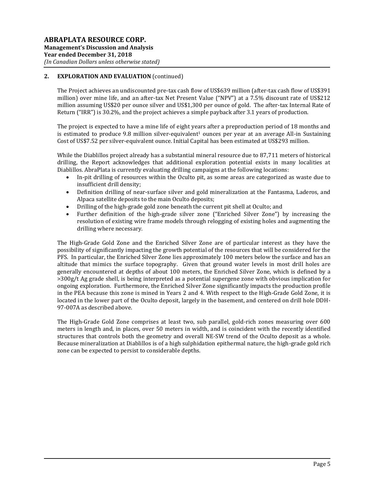The Project achieves an undiscounted pre-tax cash flow of US\$639 million (after-tax cash flow of US\$391 million) over mine life, and an after-tax Net Present Value ("NPV") at a 7.5% discount rate of US\$212 million assuming US\$20 per ounce silver and US\$1,300 per ounce of gold. The after-tax Internal Rate of Return ("IRR") is 30.2%, and the project achieves a simple payback after 3.1 years of production.

The project is expected to have a mine life of eight years after a preproduction period of 18 months and is estimated to produce  $9.8$  million silver-equivalent<sup>1</sup> ounces per year at an average All-in Sustaining Cost of US\$7.52 per silver-equivalent ounce. Initial Capital has been estimated at US\$293 million.

While the Diablillos project already has a substantial mineral resource due to 87,711 meters of historical drilling, the Report acknowledges that additional exploration potential exists in many localities at Diablillos. AbraPlata is currently evaluating drilling campaigns at the following locations:

- In-pit drilling of resources within the Oculto pit, as some areas are categorized as waste due to insufficient drill density;
- Definition drilling of near-surface silver and gold mineralization at the Fantasma, Laderos, and Alpaca satellite deposits to the main Oculto deposits;
- Drilling of the high-grade gold zone beneath the current pit shell at Oculto; and
- Further definition of the high-grade silver zone ("Enriched Silver Zone") by increasing the resolution of existing wire frame models through relogging of existing holes and augmenting the drilling where necessary.

The High-Grade Gold Zone and the Enriched Silver Zone are of particular interest as they have the possibility of significantly impacting the growth potential of the resources that will be considered for the PFS. In particular, the Enriched Silver Zone lies approximately 100 meters below the surface and has an altitude that mimics the surface topography. Given that ground water levels in most drill holes are generally encountered at depths of about 100 meters, the Enriched Silver Zone, which is defined by a >300g/t Ag grade shell, is being interpreted as a potential supergene zone with obvious implication for ongoing exploration. Furthermore, the Enriched Silver Zone significantly impacts the production profile in the PEA because this zone is mined in Years 2 and 4. With respect to the High-Grade Gold Zone, it is located in the lower part of the Oculto deposit, largely in the basement, and centered on drill hole DDH-97-007A as described above.

The High-Grade Gold Zone comprises at least two, sub parallel, gold-rich zones measuring over 600 meters in length and, in places, over 50 meters in width, and is coincident with the recently identified structures that controls both the geometry and overall NE-SW trend of the Oculto deposit as a whole. Because mineralization at Diablillos is of a high sulphidation epithermal nature, the high-grade gold rich zone can be expected to persist to considerable depths.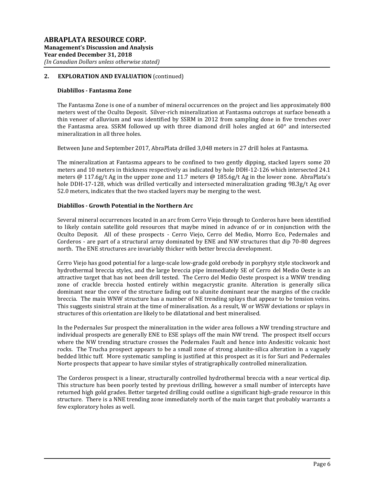#### **Diablillos - Fantasma Zone**

The Fantasma Zone is one of a number of mineral occurrences on the project and lies approximately 800 meters west of the Oculto Deposit. Silver-rich mineralization at Fantasma outcrops at surface beneath a thin veneer of alluvium and was identified by SSRM in 2012 from sampling done in five trenches over the Fantasma area. SSRM followed up with three diamond drill holes angled at 60° and intersected mineralization in all three holes.

Between June and September 2017, AbraPlata drilled 3,048 meters in 27 drill holes at Fantasma.

The mineralization at Fantasma appears to be confined to two gently dipping, stacked layers some 20 meters and 10 meters in thickness respectively as indicated by hole DDH-12-126 which intersected 24.1 meters @ 117.6g/t Ag in the upper zone and 11.7 meters @ 185.6g/t Ag in the lower zone. AbraPlata's hole DDH-17-128, which was drilled vertically and intersected mineralization grading 98.3g/t Ag over 52.0 meters, indicates that the two stacked layers may be merging to the west.

#### **Diablillos - Growth Potential in the Northern Arc**

Several mineral occurrences located in an arc from Cerro Viejo through to Corderos have been identified to likely contain satellite gold resources that maybe mined in advance of or in conjunction with the Oculto Deposit. All of these prospects - Cerro Viejo, Cerro del Medio, Morro Eco, Pedernales and Corderos - are part of a structural array dominated by ENE and NW structures that dip 70-80 degrees north. The ENE structures are invariably thicker with better breccia development.

Cerro Viejo has good potential for a large-scale low-grade gold orebody in porphyry style stockwork and hydrothermal breccia styles, and the large breccia pipe immediately SE of Cerro del Medio Oeste is an attractive target that has not been drill tested. The Cerro del Medio Oeste prospect is a WNW trending zone of crackle breccia hosted entirely within megacrystic granite. Alteration is generally silica dominant near the core of the structure fading out to alunite dominant near the margins of the crackle breccia. The main WNW structure has a number of NE trending splays that appear to be tension veins. This suggests sinistral strain at the time of mineralisation. As a result, W or WSW deviations or splays in structures of this orientation are likely to be dilatational and best mineralised.

In the Pedernales Sur prospect the mineralization in the wider area follows a NW trending structure and individual prospects are generally ENE to ESE splays off the main NW trend. The prospect itself occurs where the NW trending structure crosses the Pedernales Fault and hence into Andesitic volcanic host rocks. The Trucha prospect appears to be a small zone of strong alunite-silica alteration in a vaguely bedded lithic tuff. More systematic sampling is justified at this prospect as it is for Suri and Pedernales Norte prospects that appear to have similar styles of stratigraphically controlled mineralization.

The Corderos prospect is a linear, structurally controlled hydrothermal breccia with a near vertical dip. This structure has been poorly tested by previous drilling, however a small number of intercepts have returned high gold grades. Better targeted drilling could outline a significant high-grade resource in this structure. There is a NNE trending zone immediately north of the main target that probably warrants a few exploratory holes as well.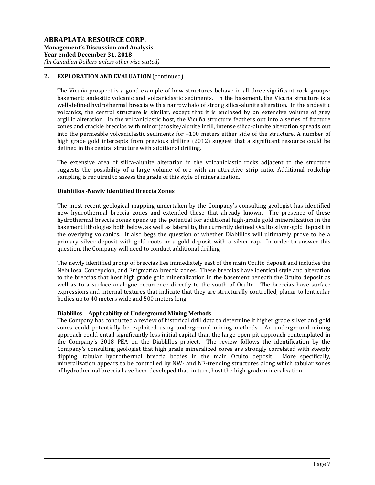The Vicuña prospect is a good example of how structures behave in all three significant rock groups: basement; andesitic volcanic and volcaniclastic sediments. In the basement, the Vicuña structure is a well-defined hydrothermal breccia with a narrow halo of strong silica-alunite alteration. In the andesitic volcanics, the central structure is similar, except that it is enclosed by an extensive volume of grey argillic alteration. In the volcaniclastic host, the Vicuña structure feathers out into a series of fracture zones and crackle breccias with minor jarosite/alunite infill, intense silica-alunite alteration spreads out into the permeable volcaniclastic sediments for +100 meters either side of the structure. A number of high grade gold intercepts from previous drilling (2012) suggest that a significant resource could be defined in the central structure with additional drilling.

The extensive area of silica-alunite alteration in the volcaniclastic rocks adjacent to the structure suggests the possibility of a large volume of ore with an attractive strip ratio. Additional rockchip sampling is required to assess the grade of this style of mineralization.

## **Diablillos -Newly Identified Breccia Zones**

The most recent geological mapping undertaken by the Company's consulting geologist has identified new hydrothermal breccia zones and extended those that already known. The presence of these hydrothermal breccia zones opens up the potential for additional high-grade gold mineralization in the basement lithologies both below, as well as lateral to, the currently defined Oculto silver-gold deposit in the overlying volcanics. It also begs the question of whether Diablillos will ultimately prove to be a primary silver deposit with gold roots or a gold deposit with a silver cap. In order to answer this question, the Company will need to conduct additional drilling.

The newly identified group of breccias lies immediately east of the main Oculto deposit and includes the Nebulosa, Concepcion, and Enigmatica breccia zones. These breccias have identical style and alteration to the breccias that host high grade gold mineralization in the basement beneath the Oculto deposit as well as to a surface analogue occurrence directly to the south of Oculto. The breccias have surface expressions and internal textures that indicate that they are structurally controlled, planar to lenticular bodies up to 40 meters wide and 500 meters long.

## **Diablillos – Applicability of Underground Mining Methods**

The Company has conducted a review of historical drill data to determine if higher grade silver and gold zones could potentially be exploited using underground mining methods. An underground mining approach could entail significantly less initial capital than the large open pit approach contemplated in the Company's 2018 PEA on the Diablillos project. The review follows the identification by the Company's consulting geologist that high grade mineralized cores are strongly correlated with steeply dipping, tabular hydrothermal breccia bodies in the main Oculto deposit. More specifically, mineralization appears to be controlled by NW- and NE-trending structures along which tabular zones of hydrothermal breccia have been developed that, in turn, host the high-grade mineralization.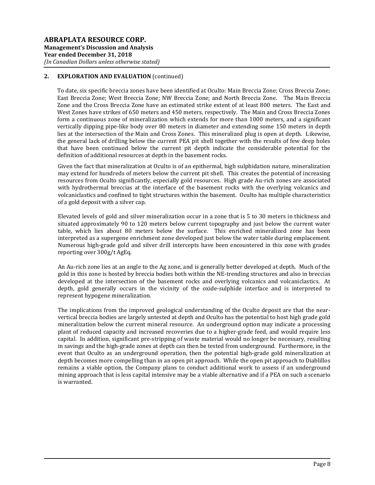To date, six specific breccia zones have been identified at Oculto: Main Breccia Zone; Cross Breccia Zone; East Breccia Zone; West Breccia Zone; NW Breccia Zone; and North Breccia Zone. The Main Breccia Zone and the Cross Breccia Zone have an estimated strike extent of at least 800 meters. The East and West Zones have strikes of 650 meters and 450 meters, respectively. The Main and Cross Breccia Zones form a continuous zone of mineralization which extends for more than 1000 meters, and a significant vertically dipping pipe-like body over 80 meters in diameter and extending some 150 meters in depth lies at the intersection of the Main and Cross Zones. This mineralized plug is open at depth. Likewise, the general lack of drilling below the current PEA pit shell together with the results of few deep holes that have been continued below the current pit depth indicate the considerable potential for the definition of additional resources at depth in the basement rocks.

Given the fact that mineralization at Oculto is of an epithermal, high sulphidation nature, mineralization may extend for hundreds of meters below the current pit shell. This creates the potential of increasing resources from Oculto significantly, especially gold resources. High grade Au-rich zones are associated with hydrothermal breccias at the interface of the basement rocks with the overlying volcanics and volcaniclastics and confined to tight structures within the basement. Oculto has multiple characteristics of a gold deposit with a silver cap.

Elevated levels of gold and silver mineralization occur in a zone that is 5 to 30 meters in thickness and situated approximately 90 to 120 meters below current topography and just below the current water table, which lies about 80 meters below the surface. This enriched mineralized zone has been interpreted as a supergene enrichment zone developed just below the water table during emplacement. Numerous high-grade gold and silver drill intercepts have been encountered in this zone with grades reporting over 300g/t AgEq.

An Au-rich zone lies at an angle to the Ag zone, and is generally better developed at depth. Much of the gold in this zone is hosted by breccia bodies both within the NE-trending structures and also in breccias developed at the intersection of the basement rocks and overlying volcanics and volcaniclastics. At depth, gold generally occurs in the vicinity of the oxide-sulphide interface and is interpreted to represent hypogene mineralization.

The implications from the improved geological understanding of the Oculto deposit are that the nearvertical breccia bodies are largely untested at depth and Oculto has the potential to host high grade gold mineralization below the current mineral resource. An underground option may indicate a processing plant of reduced capacity and increased recoveries due to a higher-grade feed, and would require less capital. In addition, significant pre-stripping of waste material would no longer be necessary, resulting in savings and the high-grade zones at depth can then be tested from underground. Furthermore, in the event that Oculto as an underground operation, then the potential high-grade gold mineralization at depth becomes more compelling than in an open pit approach. While the open pit approach to Diablillos remains a viable option, the Company plans to conduct additional work to assess if an underground mining approach that is less capital intensive may be a viable alternative and if a PEA on such a scenario is warranted.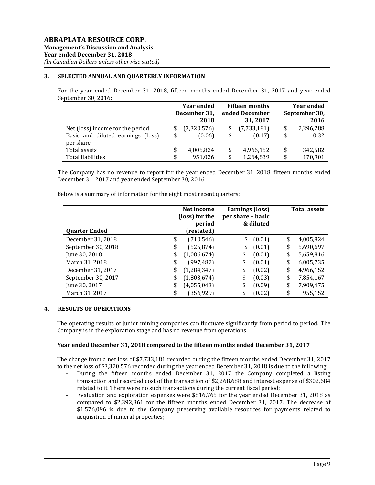# **3. SELECTED ANNUAL AND QUARTERLY INFORMATION**

For the year ended December 31, 2018, fifteen months ended December 31, 2017 and year ended September 30, 2016:

|                                   | <b>Year ended</b> | <b>Fifteen months</b> |             | <b>Year ended</b> |               |
|-----------------------------------|-------------------|-----------------------|-------------|-------------------|---------------|
|                                   | December 31,      | ended December        |             |                   | September 30, |
|                                   | 2018              |                       | 31, 2017    |                   | 2016          |
| Net (loss) income for the period  | (3,320,576)       |                       | (7,733,181) | \$                | 2,296,288     |
| Basic and diluted earnings (loss) | \$<br>(0.06)      |                       | (0.17)      | \$                | 0.32          |
| per share                         |                   |                       |             |                   |               |
| Total assets                      | \$<br>4,005,824   | S                     | 4,966,152   | \$                | 342,582       |
| <b>Total liabilities</b>          | 951.026           |                       | 1,264,839   | \$                | 170,901       |

The Company has no revenue to report for the year ended December 31, 2018, fifteen months ended December 31, 2017 and year ended September 30, 2016.

Below is a summary of information for the eight most recent quarters:

| <b>Quarter Ended</b> | Net income<br>(loss) for the<br>period<br>(restated) | <b>Earnings (loss)</b><br>per share – basic<br>& diluted |        | <b>Total assets</b> |           |
|----------------------|------------------------------------------------------|----------------------------------------------------------|--------|---------------------|-----------|
| December 31, 2018    | \$<br>(710, 546)                                     | \$                                                       | (0.01) | \$                  | 4,005,824 |
| September 30, 2018   | \$<br>(525, 874)                                     | \$                                                       | (0.01) | \$                  | 5,690,697 |
| June 30, 2018        | \$<br>(1,086,674)                                    | \$                                                       | (0.01) | \$                  | 5,659,816 |
| March 31, 2018       | \$<br>(997,482)                                      | \$                                                       | (0.01) | \$                  | 6,005,735 |
| December 31, 2017    | \$<br>(1, 284, 347)                                  | \$                                                       | (0.02) | \$                  | 4,966,152 |
| September 30, 2017   | \$<br>(1,803,674)                                    | \$                                                       | (0.03) | \$                  | 7,854,167 |
| June 30, 2017        | \$<br>(4,055,043)                                    | \$                                                       | (0.09) | \$                  | 7,909,475 |
| March 31, 2017       | \$<br>(356,929)                                      | \$                                                       | (0.02) | \$                  | 955,152   |

## **4. RESULTS OF OPERATIONS**

The operating results of junior mining companies can fluctuate significantly from period to period. The Company is in the exploration stage and has no revenue from operations.

## **Year ended December 31, 2018 compared to the fifteen months ended December 31, 2017**

The change from a net loss of \$7,733,181 recorded during the fifteen months ended December 31, 2017 to the net loss of \$3,320,576 recorded during the year ended December 31, 2018 is due to the following:

- During the fifteen months ended December 31, 2017 the Company completed a listing transaction and recorded cost of the transaction of \$2,268,688 and interest expense of \$302,684 related to it. There were no such transactions during the current fiscal period;
- Evaluation and exploration expenses were \$816,765 for the year ended December 31, 2018 as compared to \$2,392,861 for the fifteen months ended December 31, 2017. The decrease of \$1,576,096 is due to the Company preserving available resources for payments related to acquisition of mineral properties;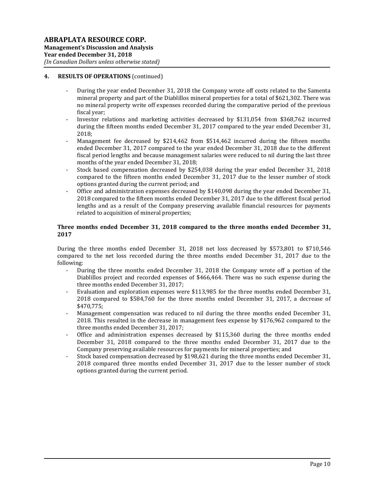## **4. RESULTS OF OPERATIONS** (continued)

- During the year ended December 31, 2018 the Company wrote off costs related to the Samenta mineral property and part of the Diablillos mineral properties for a total of \$621,302. There was no mineral property write off expenses recorded during the comparative period of the previous fiscal year;
- Investor relations and marketing activities decreased by \$131,054 from \$368,762 incurred during the fifteen months ended December 31, 2017 compared to the year ended December 31, 2018;
- Management fee decreased by \$214,462 from \$514,462 incurred during the fifteen months ended December 31, 2017 compared to the year ended December 31, 2018 due to the different fiscal period lengths and because management salaries were reduced to nil during the last three months of the year ended December 31, 2018;
- Stock based compensation decreased by \$254,038 during the year ended December 31, 2018 compared to the fifteen months ended December 31, 2017 due to the lesser number of stock options granted during the current period; and
- Office and administration expenses decreased by \$140,098 during the year ended December 31, 2018 compared to the fifteen months ended December 31, 2017 due to the different fiscal period lengths and as a result of the Company preserving available financial resources for payments related to acquisition of mineral properties;

## **Three months ended December 31, 2018 compared to the three months ended December 31, 2017**

During the three months ended December 31, 2018 net loss decreased by \$573,801 to \$710,546 compared to the net loss recorded during the three months ended December 31, 2017 due to the following:

- During the three months ended December 31, 2018 the Company wrote off a portion of the Diablillos project and recorded expenses of \$466,464. There was no such expense during the three months ended December 31, 2017;
- Evaluation and exploration expenses were \$113,985 for the three months ended December 31, 2018 compared to \$584,760 for the three months ended December 31, 2017, a decrease of \$470,775;
- Management compensation was reduced to nil during the three months ended December 31, 2018. This resulted in the decrease in management fees expense by \$176,962 compared to the three months ended December 31, 2017;
- Office and administration expenses decreased by  $$115,360$  during the three months ended December 31, 2018 compared to the three months ended December 31, 2017 due to the Company preserving available resources for payments for mineral properties; and
- Stock based compensation decreased by \$198,621 during the three months ended December 31, 2018 compared three months ended December 31, 2017 due to the lesser number of stock options granted during the current period.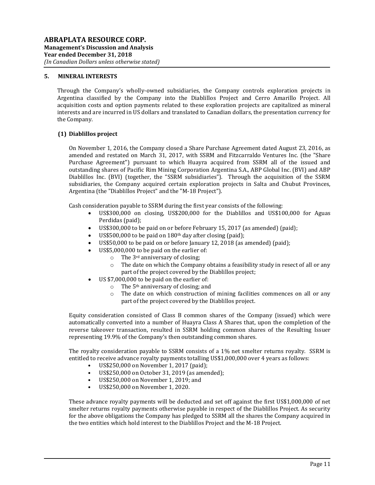## **5. MINERAL INTERESTS**

Through the Company's wholly-owned subsidiaries, the Company controls exploration projects in Argentina classified by the Company into the Diablillos Project and Cerro Amarillo Project. All acquisition costs and option payments related to these exploration projects are capitalized as mineral interests and are incurred in US dollars and translated to Canadian dollars, the presentation currency for the Company.

# **(1) Diablillos project**

On November 1, 2016, the Company closed a Share Purchase Agreement dated August 23, 2016, as amended and restated on March 31, 2017, with SSRM and Fitzcarraldo Ventures Inc. (the "Share Purchase Agreement") pursuant to which Huayra acquired from SSRM all of the issued and outstanding shares of Pacific Rim Mining Corporation Argentina S.A., ABP Global Inc. (BVI) and ABP Diablillos Inc. (BVI) (together, the "SSRM subsidiaries"). Through the acquisition of the SSRM subsidiaries, the Company acquired certain exploration projects in Salta and Chubut Provinces, Argentina (the "Diablillos Project" and the "M-18 Project").

Cash consideration payable to SSRM during the first year consists of the following:

- US\$300,000 on closing, US\$200,000 for the Diablillos and US\$100,000 for Aguas Perdidas (paid);
- US\$300,000 to be paid on or before February 15, 2017 (as amended) (paid);
- US\$500,000 to be paid on  $180<sup>th</sup>$  day after closing (paid);
- US\$50,000 to be paid on or before January 12, 2018 (as amended) (paid);
	- US\$5,000,000 to be paid on the earlier of:
		- $\circ$  The 3<sup>rd</sup> anniversary of closing;
		- $\circ$  The date on which the Company obtains a feasibility study in resect of all or any part of the project covered by the Diablillos project;
- US \$7,000,000 to be paid on the earlier of:
	- o The 5th anniversary of closing; and
	- $\circ$  The date on which construction of mining facilities commences on all or any part of the project covered by the Diablillos project.

Equity consideration consisted of Class B common shares of the Company (issued) which were automatically converted into a number of Huayra Class A Shares that, upon the completion of the reverse takeover transaction, resulted in SSRM holding common shares of the Resulting Issuer representing 19.9% of the Company's then outstanding common shares.

The royalty consideration payable to SSRM consists of a 1% net smelter returns royalty. SSRM is entitled to receive advance royalty payments totalling US\$1,000,000 over 4 years as follows:

- US\$250,000 on November 1, 2017 (paid);
- US\$250,000 on October 31, 2019 (as amended);
- US\$250,000 on November 1, 2019; and
- US\$250,000 on November 1, 2020.

These advance royalty payments will be deducted and set off against the first US\$1,000,000 of net smelter returns royalty payments otherwise payable in respect of the Diablillos Project. As security for the above obligations the Company has pledged to SSRM all the shares the Company acquired in the two entities which hold interest to the Diablillos Project and the M-18 Project.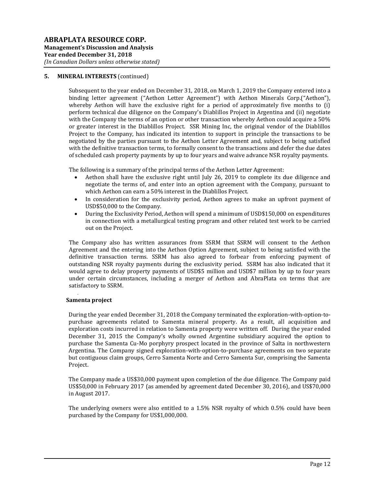#### **5. MINERAL INTERESTS** (continued)

Subsequent to the year ended on December 31, 2018, on March 1, 2019 the Company entered into a binding letter agreement ("Aethon Letter Agreement") with Aethon Minerals Corp.("Aethon"), whereby Aethon will have the exclusive right for a period of approximately five months to (i) perform technical due diligence on the Company's Diablillos Project in Argentina and (ii) negotiate with the Company the terms of an option or other transaction whereby Aethon could acquire a 50% or greater interest in the Diablillos Project. SSR Mining Inc, the original vendor of the Diablillos Project to the Company, has indicated its intention to support in principle the transactions to be negotiated by the parties pursuant to the Aethon Letter Agreement and, subject to being satisfied with the definitive transaction terms, to formally consent to the transactions and defer the due dates of scheduled cash property payments by up to four years and waive advance NSR royalty payments.

The following is a summary of the principal terms of the Aethon Letter Agreement:

- Aethon shall have the exclusive right until July 26, 2019 to complete its due diligence and negotiate the terms of, and enter into an option agreement with the Company, pursuant to which Aethon can earn a 50% interest in the Diablillos Project.
- In consideration for the exclusivity period, Aethon agrees to make an upfront payment of USD\$50,000 to the Company.
- During the Exclusivity Period, Aethon will spend a minimum of USD\$150,000 on expenditures in connection with a metallurgical testing program and other related test work to be carried out on the Project.

The Company also has written assurances from SSRM that SSRM will consent to the Aethon Agreement and the entering into the Aethon Option Agreement, subject to being satisfied with the definitive transaction terms. SSRM has also agreed to forbear from enforcing payment of outstanding NSR royalty payments during the exclusivity period. SSRM has also indicated that it would agree to delay property payments of USD\$5 million and USD\$7 million by up to four years under certain circumstances, including a merger of Aethon and AbraPlata on terms that are satisfactory to SSRM.

#### **Samenta project**

.

During the year ended December 31, 2018 the Company terminated the exploration-with-option-topurchase agreements related to Samenta mineral property. As a result, all acquisition and exploration costs incurred in relation to Samenta property were written off. During the year ended December 31, 2015 the Company's wholly owned Argentine subsidiary acquired the option to purchase the Samenta Cu-Mo porphyry prospect located in the province of Salta in northwestern Argentina. The Company signed exploration-with-option-to-purchase agreements on two separate but contiguous claim groups, Cerro Samenta Norte and Cerro Samenta Sur, comprising the Samenta Project.

The Company made a US\$30,000 payment upon completion of the due diligence. The Company paid US\$50,000 in February 2017 (as amended by agreement dated December 30, 2016), and US\$70,000 in August 2017.

The underlying owners were also entitled to a 1.5% NSR royalty of which 0.5% could have been purchased by the Company for US\$1,000,000.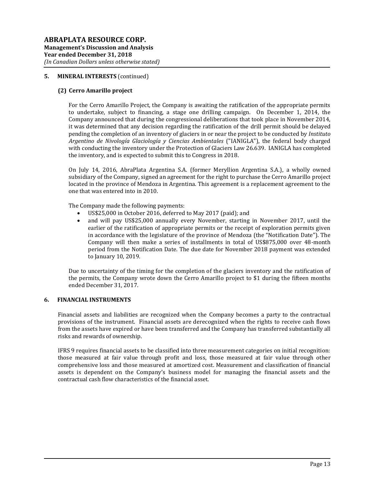## **5. MINERAL INTERESTS** (continued)

## **(2) Cerro Amarillo project**

For the Cerro Amarillo Project, the Company is awaiting the ratification of the appropriate permits to undertake, subject to financing, a stage one drilling campaign. On December 1, 2014, the Company announced that during the congressional deliberations that took place in November 2014, it was determined that any decision regarding the ratification of the drill permit should be delayed pending the completion of an inventory of glaciers in or near the project to be conducted by *Instituto Argentino de Nivología Glaciología y Ciencias Ambientales* ("IANIGLA"), the federal body charged with conducting the inventory under the Protection of Glaciers Law 26.639. IANIGLA has completed the inventory, and is expected to submit this to Congress in 2018.

On July 14, 2016, AbraPlata Argentina S.A. (former Meryllion Argentina S.A.), a wholly owned subsidiary of the Company, signed an agreement for the right to purchase the Cerro Amarillo project located in the province of Mendoza in Argentina. This agreement is a replacement agreement to the one that was entered into in 2010.

The Company made the following payments:

- US\$25,000 in October 2016, deferred to May 2017 (paid); and
- and will pay US\$25,000 annually every November, starting in November 2017, until the earlier of the ratification of appropriate permits or the receipt of exploration permits given in accordance with the legislature of the province of Mendoza (the "Notification Date"). The Company will then make a series of installments in total of US\$875,000 over 48-month period from the Notification Date. The due date for November 2018 payment was extended to January 10, 2019.

Due to uncertainty of the timing for the completion of the glaciers inventory and the ratification of the permits, the Company wrote down the Cerro Amarillo project to \$1 during the fifteen months ended December 31, 2017.

# **6. FINANCIAL INSTRUMENTS**

Financial assets and liabilities are recognized when the Company becomes a party to the contractual provisions of the instrument. Financial assets are derecognized when the rights to receive cash flows from the assets have expired or have been transferred and the Company has transferred substantially all risks and rewards of ownership.

IFRS 9 requires financial assets to be classified into three measurement categories on initial recognition: those measured at fair value through profit and loss, those measured at fair value through other comprehensive loss and those measured at amortized cost. Measurement and classification of financial assets is dependent on the Company's business model for managing the financial assets and the contractual cash flow characteristics of the financial asset.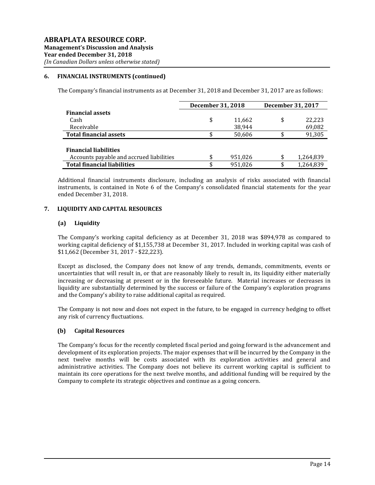## **6. FINANCIAL INSTRUMENTS (continued)**

The Company's financial instruments as at December 31, 2018 and December 31, 2017 are as follows:

|                                          | December 31, 2018 |         | December 31, 2017 |
|------------------------------------------|-------------------|---------|-------------------|
| <b>Financial assets</b>                  |                   |         |                   |
| Cash                                     | \$                | 11,662  | \$<br>22.223      |
| Receivable                               |                   | 38.944  | 69,082            |
| <b>Total financial assets</b>            |                   | 50.606  | 91,305            |
|                                          |                   |         |                   |
| <b>Financial liabilities</b>             |                   |         |                   |
| Accounts payable and accrued liabilities | S                 | 951,026 | \$<br>1,264,839   |
| <b>Total financial liabilities</b>       | \$                | 951,026 | \$<br>1,264,839   |

Additional financial instruments disclosure, including an analysis of risks associated with financial instruments, is contained in Note 6 of the Company's consolidated financial statements for the year ended December 31, 2018.

## **7. LIQUIDITY AND CAPITAL RESOURCES**

#### **(a) Liquidity**

The Company's working capital deficiency as at December 31, 2018 was \$894,978 as compared to working capital deficiency of \$1,155,738 at December 31, 2017. Included in working capital was cash of \$11,662 (December 31, 2017 - \$22,223).

Except as disclosed, the Company does not know of any trends, demands, commitments, events or uncertainties that will result in, or that are reasonably likely to result in, its liquidity either materially increasing or decreasing at present or in the foreseeable future. Material increases or decreases in liquidity are substantially determined by the success or failure of the Company's exploration programs and the Company's ability to raise additional capital as required.

The Company is not now and does not expect in the future, to be engaged in currency hedging to offset any risk of currency fluctuations.

## **(b) Capital Resources**

The Company's focus for the recently completed fiscal period and going forward is the advancement and development of its exploration projects. The major expenses that will be incurred by the Company in the next twelve months will be costs associated with its exploration activities and general and administrative activities. The Company does not believe its current working capital is sufficient to maintain its core operations for the next twelve months, and additional funding will be required by the Company to complete its strategic objectives and continue as a going concern.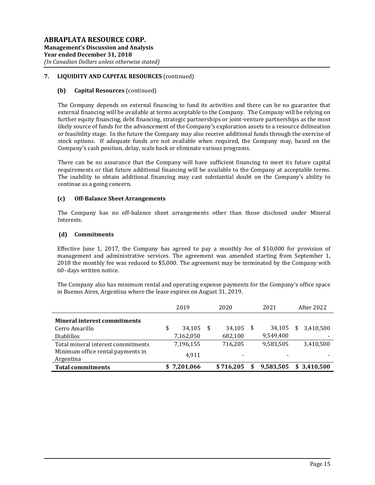# **7. LIQUIDITY AND CAPITAL RESOURCES** (continued)

## **(b) Capital Resources** (continued)

The Company depends on external financing to fund its activities and there can be no guarantee that external financing will be available at terms acceptable to the Company. The Company will be relying on further equity financing, debt financing, strategic partnerships or joint-venture partnerships as the most likely source of funds for the advancement of the Company's exploration assets to a resource delineation or feasibility stage. In the future the Company may also receive additional funds through the exercise of stock options. If adequate funds are not available when required, the Company may, based on the Company's cash position, delay, scale back or eliminate various programs.

There can be no assurance that the Company will have sufficient financing to meet its future capital requirements or that future additional financing will be available to the Company at acceptable terms. The inability to obtain additional financing may cast substantial doubt on the Company's ability to continue as a going concern.

#### **(c) Off-Balance Sheet Arrangements**

The Company has no off-balance sheet arrangements other than those disclosed under Mineral Interests.

#### **(d) Commitments**

Effective June 1, 2017, the Company has agreed to pay a monthly fee of \$10,000 for provision of management and administrative services. The agreement was amended starting from September 1, 2018 the monthly fee was reduced to \$5,000. The agreement may be terminated by the Company with 60- days written notice.

The Company also has minimum rental and operating expense payments for the Company's office space in Buenos Aires, Argentina where the lease expires on August 31, 2019.

|                                                | 2019         |      | 2020      | 2021      |     | After 2022  |
|------------------------------------------------|--------------|------|-----------|-----------|-----|-------------|
| <b>Mineral interest commitments</b>            |              |      |           |           |     |             |
| Cerro Amarillo                                 | \$<br>34.105 | - \$ | 34,105    | 34,105    | \$. | 3,410,500   |
| <b>Diablillos</b>                              | 7,162,050    |      | 682,100   | 9,549,400 |     |             |
| Total mineral interest commitments             | 7,196,155    |      | 716,205   | 9,583,505 |     | 3,410,500   |
| Minimum office rental payments in<br>Argentina | 4.911        |      |           |           |     |             |
| <b>Total commitments</b>                       | \$7,201,066  |      | \$716.205 | 9,583,505 |     | \$3.410.500 |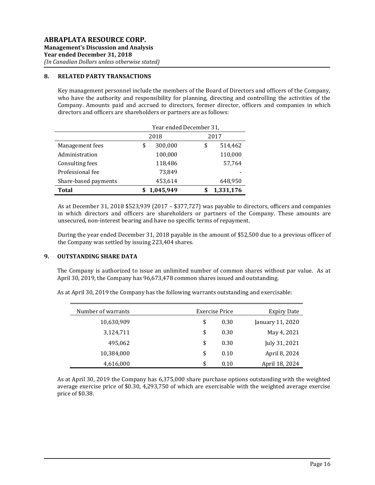#### **8. RELATED PARTY TRANSACTIONS**

Key management personnel include the members of the Board of Directors and officers of the Company, who have the authority and responsibility for planning, directing and controlling the activities of the Company. Amounts paid and accrued to directors, former director, officers and companies in which directors and officers are shareholders or partners are as follows:

|                      | Year ended December 31, |           |      |         |  |  |
|----------------------|-------------------------|-----------|------|---------|--|--|
|                      |                         | 2018      | 2017 |         |  |  |
| Management fees      | \$                      | 300,000   | \$   | 514,462 |  |  |
| Administration       |                         | 100,000   |      | 110,000 |  |  |
| Consulting fees      |                         | 118,486   |      | 57,764  |  |  |
| Professional fee     |                         | 73,849    |      |         |  |  |
| Share-based payments |                         | 453,614   |      | 648,950 |  |  |
| Total                | 1,045,949               | 1,331,176 |      |         |  |  |

As at December 31, 2018 \$523,939 (2017 – \$377,727) was payable to directors, officers and companies in which directors and officers are shareholders or partners of the Company. These amounts are unsecured, non-interest bearing and have no specific terms of repayment.

During the year ended December 31, 2018 payable in the amount of \$52,500 due to a previous officer of the Company was settled by issuing 223,404 shares.

## **9. OUTSTANDING SHARE DATA**

The Company is authorized to issue an unlimited number of common shares without par value. As at April 30, 2019, the Company has 96,673,478 common shares issued and outstanding.

| Expiry Date      | Exercise Price | Number of warrants |
|------------------|----------------|--------------------|
| January 11, 2020 | 0.30           | \$<br>10,630,909   |
| May 4, 2021      | 0.30           | \$<br>3,124,711    |
| July 31, 2021    | 0.30           | \$<br>495,062      |
| April 8, 2024    | 0.10           | \$<br>10,384,000   |
| April 18, 2024   | 0.10           | \$<br>4,616,000    |

As at April 30, 2019 the Company has the following warrants outstanding and exercisable:

As at April 30, 2019 the Company has 6,375,000 share purchase options outstanding with the weighted average exercise price of \$0.30, 4,293,750 of which are exercisable with the weighted average exercise price of \$0.38.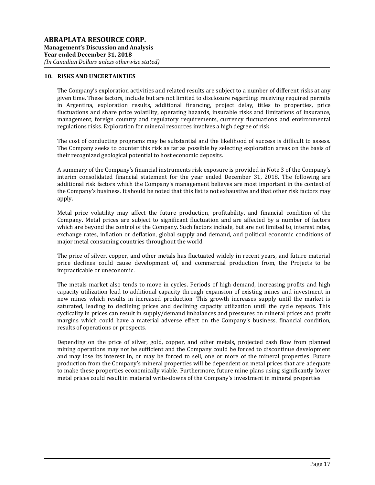#### **10. RISKS AND UNCERTAINTIES**

The Company's exploration activities and related results are subject to a number of different risks at any given time. These factors, include but are not limited to disclosure regarding: receiving required permits in Argentina, exploration results, additional financing, project delay, titles to properties, price fluctuations and share price volatility, operating hazards, insurable risks and limitations of insurance, management, foreign country and regulatory requirements, currency fluctuations and environmental regulations risks. Exploration for mineral resources involves a high degree of risk.

The cost of conducting programs may be substantial and the likelihood of success is difficult to assess. The Company seeks to counter this risk as far as possible by selecting exploration areas on the basis of their recognized geological potential to host economic deposits.

A summary of the Company's financial instruments risk exposure is provided in Note 3 of the Company's interim consolidated financial statement for the year ended December 31, 2018. The following are additional risk factors which the Company's management believes are most important in the context of the Company's business. It should be noted that this list is not exhaustive and that other risk factors may apply.

Metal price volatility may affect the future production, profitability, and financial condition of the Company. Metal prices are subject to significant fluctuation and are affected by a number of factors which are beyond the control of the Company. Such factors include, but are not limited to, interest rates, exchange rates, inflation or deflation, global supply and demand, and political economic conditions of major metal consuming countries throughout the world.

The price of silver, copper, and other metals has fluctuated widely in recent years, and future material price declines could cause development of, and commercial production from, the Projects to be impracticable or uneconomic.

The metals market also tends to move in cycles. Periods of high demand, increasing profits and high capacity utilization lead to additional capacity through expansion of existing mines and investment in new mines which results in increased production. This growth increases supply until the market is saturated, leading to declining prices and declining capacity utilization until the cycle repeats. This cyclicality in prices can result in supply/demand imbalances and pressures on mineral prices and profit margins which could have a material adverse effect on the Company's business, financial condition, results of operations or prospects.

Depending on the price of silver, gold, copper, and other metals, projected cash flow from planned mining operations may not be sufficient and the Company could be forced to discontinue development and may lose its interest in, or may be forced to sell, one or more of the mineral properties. Future production from the Company's mineral properties will be dependent on metal prices that are adequate to make these properties economically viable. Furthermore, future mine plans using significantly lower metal prices could result in material write-downs of the Company's investment in mineral properties.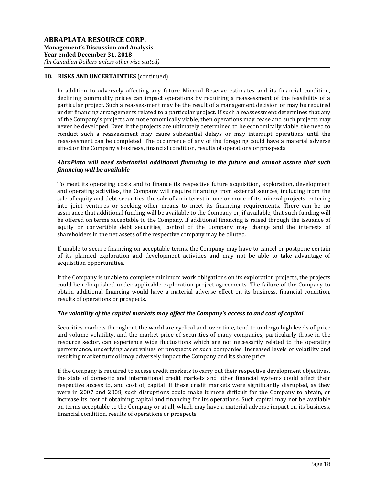In addition to adversely affecting any future Mineral Reserve estimates and its financial condition, declining commodity prices can impact operations by requiring a reassessment of the feasibility of a particular project. Such a reassessment may be the result of a management decision or may be required under financing arrangements related to a particular project. If such a reassessment determines that any of the Company's projects are not economically viable, then operations may cease and such projects may never be developed. Even if the projects are ultimately determined to be economically viable, the need to conduct such a reassessment may cause substantial delays or may interrupt operations until the reassessment can be completed. The occurrence of any of the foregoing could have a material adverse effect on the Company's business, financial condition, results of operations or prospects.

## *AbraPlata will need substantial additional financing in the future and cannot assure that such financing will be available*

To meet its operating costs and to finance its respective future acquisition, exploration, development and operating activities, the Company will require financing from external sources, including from the sale of equity and debt securities, the sale of an interest in one or more of its mineral projects, entering into joint ventures or seeking other means to meet its financing requirements. There can be no assurance that additional funding will be available to the Company or, if available, that such funding will be offered on terms acceptable to the Company. If additional financing is raised through the issuance of equity or convertible debt securities, control of the Company may change and the interests of shareholders in the net assets of the respective company may be diluted.

If unable to secure financing on acceptable terms, the Company may have to cancel or postpone certain of its planned exploration and development activities and may not be able to take advantage of acquisition opportunities.

If the Company is unable to complete minimum work obligations on its exploration projects, the projects could be relinquished under applicable exploration project agreements. The failure of the Company to obtain additional financing would have a material adverse effect on its business, financial condition, results of operations or prospects.

## *The volatility of the capital markets may affect the Company's access to and cost of capital*

Securities markets throughout the world are cyclical and, over time, tend to undergo high levels of price and volume volatility, and the market price of securities of many companies, particularly those in the resource sector, can experience wide fluctuations which are not necessarily related to the operating performance, underlying asset values or prospects of such companies. Increased levels of volatility and resulting market turmoil may adversely impact the Company and its share price.

If the Company is required to access credit markets to carry out their respective development objectives, the state of domestic and international credit markets and other financial systems could affect their respective access to, and cost of, capital. If these credit markets were significantly disrupted, as they were in 2007 and 2008, such disruptions could make it more difficult for the Company to obtain, or increase its cost of obtaining capital and financing for its operations. Such capital may not be available on terms acceptable to the Company or at all, which may have a material adverse impact on its business, financial condition, results of operations or prospects.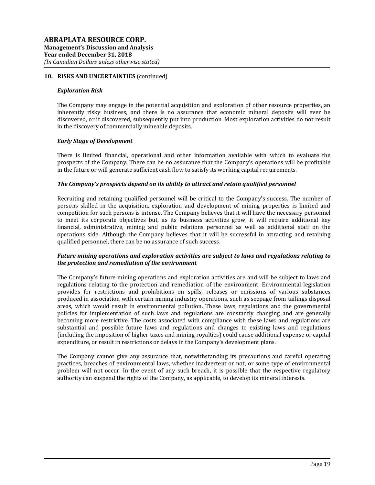#### *Exploration Risk*

The Company may engage in the potential acquisition and exploration of other resource properties, an inherently risky business, and there is no assurance that economic mineral deposits will ever be discovered, or if discovered, subsequently put into production. Most exploration activities do not result in the discovery of commercially mineable deposits.

#### *Early Stage of Development*

There is limited financial, operational and other information available with which to evaluate the prospects of the Company. There can be no assurance that the Company's operations will be profitable in the future or will generate sufficient cash flow to satisfy its working capital requirements.

#### *The Company's prospects depend on its ability to attract and retain qualified personnel*

Recruiting and retaining qualified personnel will be critical to the Company's success. The number of persons skilled in the acquisition, exploration and development of mining properties is limited and competition for such persons is intense. The Company believes that it will have the necessary personnel to meet its corporate objectives but, as its business activities grow, it will require additional key financial, administrative, mining and public relations personnel as well as additional staff on the operations side. Although the Company believes that it will be successful in attracting and retaining qualified personnel, there can be no assurance of such success.

## *Future mining operations and exploration activities are subject to laws and regulations relating to the protection and remediation of the environment*

The Company's future mining operations and exploration activities are and will be subject to laws and regulations relating to the protection and remediation of the environment. Environmental legislation provides for restrictions and prohibitions on spills, releases or emissions of various substances produced in association with certain mining industry operations, such as seepage from tailings disposal areas, which would result in environmental pollution. These laws, regulations and the governmental policies for implementation of such laws and regulations are constantly changing and are generally becoming more restrictive. The costs associated with compliance with these laws and regulations are substantial and possible future laws and regulations and changes to existing laws and regulations (including the imposition of higher taxes and mining royalties) could cause additional expense or capital expenditure, or result in restrictions or delays in the Company's development plans.

The Company cannot give any assurance that, notwithstanding its precautions and careful operating practices, breaches of environmental laws, whether inadvertent or not, or some type of environmental problem will not occur. In the event of any such breach, it is possible that the respective regulatory authority can suspend the rights of the Company, as applicable, to develop its mineral interests.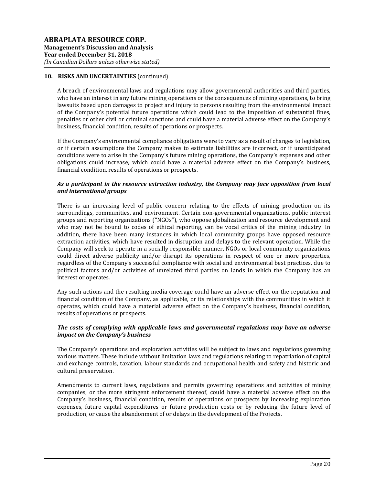A breach of environmental laws and regulations may allow governmental authorities and third parties, who have an interest in any future mining operations or the consequences of mining operations, to bring lawsuits based upon damages to project and injury to persons resulting from the environmental impact of the Company's potential future operations which could lead to the imposition of substantial fines, penalties or other civil or criminal sanctions and could have a material adverse effect on the Company's business, financial condition, results of operations or prospects.

If the Company's environmental compliance obligations were to vary as a result of changes to legislation, or if certain assumptions the Company makes to estimate liabilities are incorrect, or if unanticipated conditions were to arise in the Company's future mining operations, the Company's expenses and other obligations could increase, which could have a material adverse effect on the Company's business, financial condition, results of operations or prospects.

## *As a participant in the resource extraction industry, the Company may face opposition from local and international groups*

There is an increasing level of public concern relating to the effects of mining production on its surroundings, communities, and environment. Certain non-governmental organizations, public interest groups and reporting organizations ("NGOs"), who oppose globalization and resource development and who may not be bound to codes of ethical reporting, can be vocal critics of the mining industry. In addition, there have been many instances in which local community groups have opposed resource extraction activities, which have resulted in disruption and delays to the relevant operation. While the Company will seek to operate in a socially responsible manner, NGOs or local community organizations could direct adverse publicity and/or disrupt its operations in respect of one or more properties, regardless of the Company's successful compliance with social and environmental best practices, due to political factors and/or activities of unrelated third parties on lands in which the Company has an interest or operates.

Any such actions and the resulting media coverage could have an adverse effect on the reputation and financial condition of the Company, as applicable, or its relationships with the communities in which it operates, which could have a material adverse effect on the Company's business, financial condition, results of operations or prospects.

## *The costs of complying with applicable laws and governmental regulations may have an adverse impact on the Company's business*

The Company's operations and exploration activities will be subject to laws and regulations governing various matters. These include without limitation laws and regulations relating to repatriation of capital and exchange controls, taxation, labour standards and occupational health and safety and historic and cultural preservation.

Amendments to current laws, regulations and permits governing operations and activities of mining companies, or the more stringent enforcement thereof, could have a material adverse effect on the Company's business, financial condition, results of operations or prospects by increasing exploration expenses, future capital expenditures or future production costs or by reducing the future level of production, or cause the abandonment of or delays in the development of the Projects.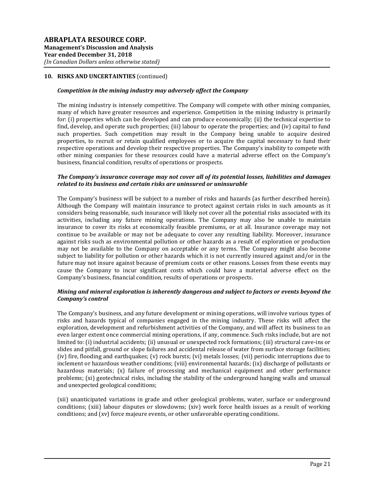## *Competition in the mining industry may adversely affect the Company*

The mining industry is intensely competitive. The Company will compete with other mining companies, many of which have greater resources and experience. Competition in the mining industry is primarily for: (i) properties which can be developed and can produce economically; (ii) the technical expertise to find, develop, and operate such properties; (iii) labour to operate the properties; and (iv) capital to fund such properties. Such competition may result in the Company being unable to acquire desired properties, to recruit or retain qualified employees or to acquire the capital necessary to fund their respective operations and develop their respective properties. The Company's inability to compete with other mining companies for these resources could have a material adverse effect on the Company's business, financial condition, results of operations or prospects.

#### *The Company's insurance coverage may not cover all of its potential losses, liabilities and damages related to its business and certain risks are uninsured or uninsurable*

The Company's business will be subject to a number of risks and hazards (as further described herein). Although the Company will maintain insurance to protect against certain risks in such amounts as it considers being reasonable, such insurance will likely not cover all the potential risks associated with its activities, including any future mining operations. The Company may also be unable to maintain insurance to cover its risks at economically feasible premiums, or at all. Insurance coverage may not continue to be available or may not be adequate to cover any resulting liability. Moreover, insurance against risks such as environmental pollution or other hazards as a result of exploration or production may not be available to the Company on acceptable or any terms. The Company might also become subject to liability for pollution or other hazards which it is not currently insured against and/or in the future may not insure against because of premium costs or other reasons. Losses from these events may cause the Company to incur significant costs which could have a material adverse effect on the Company's business, financial condition, results of operations or prospects.

## *Mining and mineral exploration is inherently dangerous and subject to factors or events beyond the Company's control*

The Company's business, and any future development or mining operations, will involve various types of risks and hazards typical of companies engaged in the mining industry. These risks will affect the exploration, development and refurbishment activities of the Company, and will affect its business to an even larger extent once commercial mining operations, if any, commence. Such risks include, but are not limited to: (i) industrial accidents; (ii) unusual or unexpected rock formations; (iii) structural cave-ins or slides and pitfall, ground or slope failures and accidental release of water from surface storage facilities; (iv) fire, flooding and earthquakes; (v) rock bursts; (vi) metals losses; (vii) periodic interruptions due to inclement or hazardous weather conditions; (viii) environmental hazards; (ix) discharge of pollutants or hazardous materials; (x) failure of processing and mechanical equipment and other performance problems; (xi) geotechnical risks, including the stability of the underground hanging walls and unusual and unexpected geological conditions;

(xii) unanticipated variations in grade and other geological problems, water, surface or underground conditions; (xiii) labour disputes or slowdowns; (xiv) work force health issues as a result of working conditions; and (xv) force majeure events, or other unfavorable operating conditions.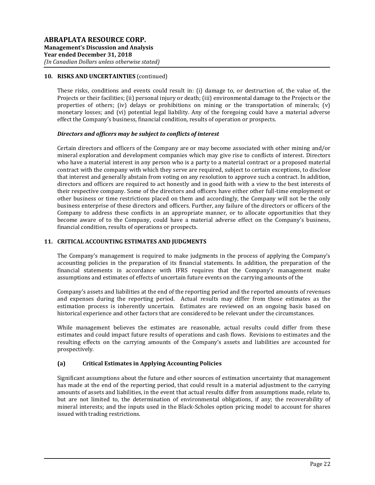These risks, conditions and events could result in: (i) damage to, or destruction of, the value of, the Projects or their facilities; (ii) personal injury or death; (iii) environmental damage to the Projects or the properties of others; (iv) delays or prohibitions on mining or the transportation of minerals; (v) monetary losses; and (vi) potential legal liability. Any of the foregoing could have a material adverse effect the Company's business, financial condition, results of operation or prospects.

## *Directors and officers may be subject to conflicts of interest*

Certain directors and officers of the Company are or may become associated with other mining and/or mineral exploration and development companies which may give rise to conflicts of interest. Directors who have a material interest in any person who is a party to a material contract or a proposed material contract with the company with which they serve are required, subject to certain exceptions, to disclose that interest and generally abstain from voting on any resolution to approve such a contract. In addition, directors and officers are required to act honestly and in good faith with a view to the best interests of their respective company. Some of the directors and officers have either other full-time employment or other business or time restrictions placed on them and accordingly, the Company will not be the only business enterprise of these directors and officers. Further, any failure of the directors or officers of the Company to address these conflicts in an appropriate manner, or to allocate opportunities that they become aware of to the Company, could have a material adverse effect on the Company's business, financial condition, results of operations or prospects.

#### **11. CRITICAL ACCOUNTING ESTIMATES AND JUDGMENTS**

The Company's management is required to make judgments in the process of applying the Company's accounting policies in the preparation of its financial statements. In addition, the preparation of the financial statements in accordance with IFRS requires that the Company's management make assumptions and estimates of effects of uncertain future events on the carrying amounts of the

Company's assets and liabilities at the end of the reporting period and the reported amounts of revenues and expenses during the reporting period. Actual results may differ from those estimates as the estimation process is inherently uncertain. Estimates are reviewed on an ongoing basis based on historical experience and other factors that are considered to be relevant under the circumstances.

While management believes the estimates are reasonable, actual results could differ from these estimates and could impact future results of operations and cash flows. Revisions to estimates and the resulting effects on the carrying amounts of the Company's assets and liabilities are accounted for prospectively.

## **(a) Critical Estimates in Applying Accounting Policies**

Significant assumptions about the future and other sources of estimation uncertainty that management has made at the end of the reporting period, that could result in a material adjustment to the carrying amounts of assets and liabilities, in the event that actual results differ from assumptions made, relate to, but are not limited to, the determination of environmental obligations, if any; the recoverability of mineral interests; and the inputs used in the Black-Scholes option pricing model to account for shares issued with trading restrictions.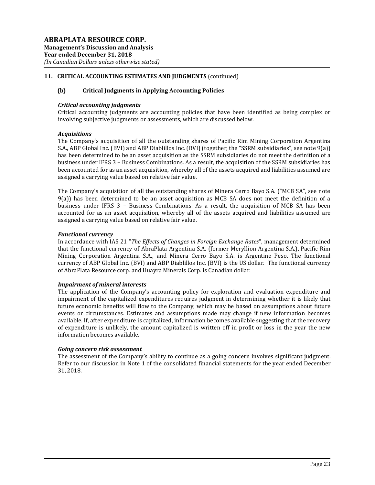## **11. CRITICAL ACCOUNTING ESTIMATES AND JUDGMENTS** (continued)

## **(b) Critical Judgments in Applying Accounting Policies**

## *Critical accounting judgments*

Critical accounting judgments are accounting policies that have been identified as being complex or involving subjective judgments or assessments, which are discussed below.

#### *Acquisitions*

The Company's acquisition of all the outstanding shares of Pacific Rim Mining Corporation Argentina S.A., ABP Global Inc. (BVI) and ABP Diablillos Inc. (BVI) (together, the "SSRM subsidiaries", see note 9(a)) has been determined to be an asset acquisition as the SSRM subsidiaries do not meet the definition of a business under IFRS 3 – Business Combinations. As a result, the acquisition of the SSRM subsidiaries has been accounted for as an asset acquisition, whereby all of the assets acquired and liabilities assumed are assigned a carrying value based on relative fair value.

The Company's acquisition of all the outstanding shares of Minera Cerro Bayo S.A. ("MCB SA", see note 9(a)) has been determined to be an asset acquisition as MCB SA does not meet the definition of a business under IFRS 3 – Business Combinations. As a result, the acquisition of MCB SA has been accounted for as an asset acquisition, whereby all of the assets acquired and liabilities assumed are assigned a carrying value based on relative fair value.

#### *Functional currency*

In accordance with IAS 21 "*The Effects of Changes in Foreign Exchange Rates*", management determined that the functional currency of AbraPlata Argentina S.A. (former Meryllion Argentina S.A.), Pacific Rim Mining Corporation Argentina S.A., and Minera Cerro Bayo S.A. is Argentine Peso. The functional currency of ABP Global Inc. (BVI) and ABP Diablillos Inc. (BVI) is the US dollar. The functional currency of AbraPlata Resource corp. and Huayra Minerals Corp. is Canadian dollar.

## *Impairment of mineral interests*

The application of the Company's accounting policy for exploration and evaluation expenditure and impairment of the capitalized expenditures requires judgment in determining whether it is likely that future economic benefits will flow to the Company, which may be based on assumptions about future events or circumstances. Estimates and assumptions made may change if new information becomes available. If, after expenditure is capitalized, information becomes available suggesting that the recovery of expenditure is unlikely, the amount capitalized is written off in profit or loss in the year the new information becomes available.

## *Going concern risk assessment*

The assessment of the Company's ability to continue as a going concern involves significant judgment. Refer to our discussion in Note 1 of the consolidated financial statements for the year ended December 31, 2018.